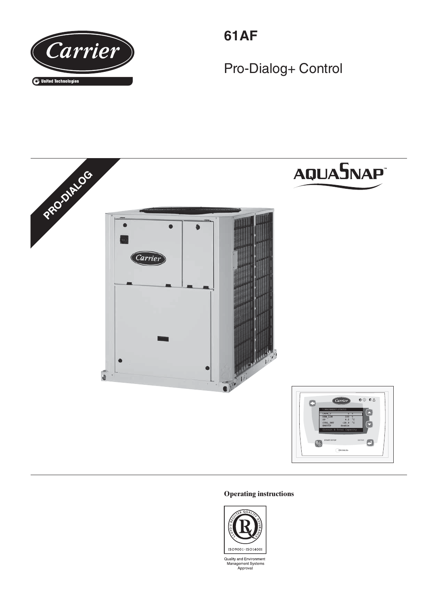

**61AF**

Pro-Dialog+ Control



## **Operating instructions**



Quality and Environment<br>Management Systems<br>Approval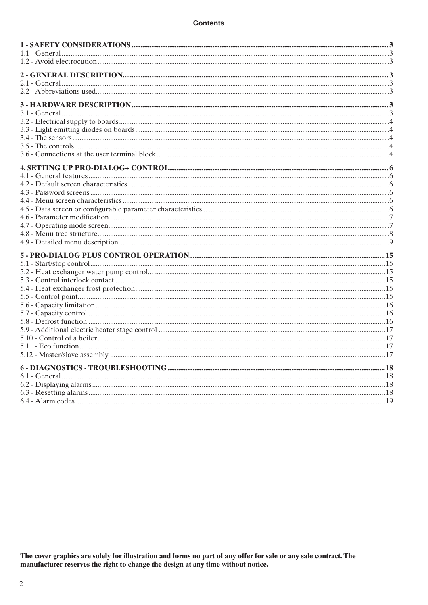The cover graphics are solely for illustration and forms no part of any offer for sale or any sale contract. The manufacturer reserves the right to change the design at any time without notice.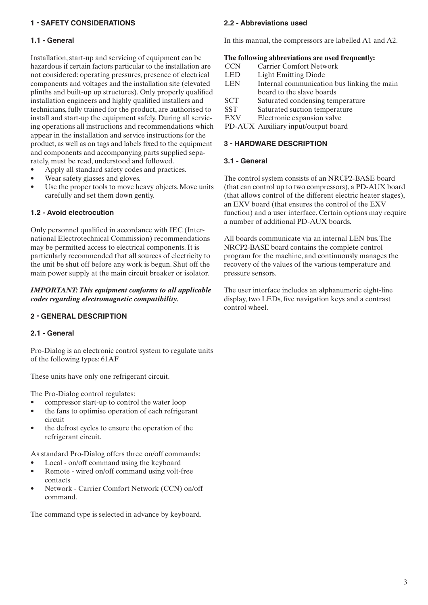## **1 - SAFETY CONSIDERATIONS**

#### **1.1 - General**

Installation, start-up and servicing of equipment can be hazardous if certain factors particular to the installation are not considered: operating pressures, presence of electrical components and voltages and the installation site (elevated plinths and built-up up structures). Only properly qualified installation engineers and highly qualified installers and technicians, fully trained for the product, are authorised to install and start-up the equipment safely. During all servicing operations all instructions and recommendations which appear in the installation and service instructions for the product, as well as on tags and labels fixed to the equipment and components and accompanying parts supplied separately, must be read, understood and followed.

- Apply all standard safety codes and practices.
- Wear safety glasses and gloves.
- Use the proper tools to move heavy objects. Move units carefully and set them down gently.

## **1.2 - Avoid electrocution**

Only personnel qualified in accordance with IEC (International Electrotechnical Commission) recommendations may be permitted access to electrical components. It is particularly recommended that all sources of electricity to the unit be shut off before any work is begun. Shut off the main power supply at the main circuit breaker or isolator.

#### *IMPORTANT: This equipment conforms to all applicable codes regarding electromagnetic compatibility.*

## **2 - GENERAL DESCRIPTION**

#### **2.1 - General**

Pro-Dialog is an electronic control system to regulate units of the following types: 61AF

These units have only one refrigerant circuit.

The Pro-Dialog control regulates:

- compressor start-up to control the water loop
- the fans to optimise operation of each refrigerant circuit
- the defrost cycles to ensure the operation of the refrigerant circuit.

As standard Pro-Dialog offers three on/off commands:

- Local on/off command using the keyboard • Remote - wired on/off command using volt-free
- contacts
- Network Carrier Comfort Network (CCN) on/off command.

The command type is selected in advance by keyboard.

#### **2.2 - Abbreviations used**

In this manual, the compressors are labelled A1 and A2.

#### **The following abbreviations are used frequently:**

| <b>CCN</b> | <b>Carrier Comfort Network</b>              |
|------------|---------------------------------------------|
| <b>LED</b> | <b>Light Emitting Diode</b>                 |
| <b>LEN</b> | Internal communication bus linking the main |
|            | board to the slave boards                   |
| <b>SCT</b> | Saturated condensing temperature            |
| <b>SST</b> | Saturated suction temperature               |
| <b>EXV</b> | Electronic expansion valve                  |
|            |                                             |

PD-AUX Auxiliary input/output board

#### **3 - HARDWARE DESCRIPTION**

#### **3.1 - General**

The control system consists of an NRCP2-BASE board (that can control up to two compressors), a PD-AUX board (that allows control of the different electric heater stages), an EXV board (that ensures the control of the EXV function) and a user interface. Certain options may require a number of additional PD-AUX boards.

All boards communicate via an internal LEN bus. The NRCP2-BASE board contains the complete control program for the machine, and continuously manages the recovery of the values of the various temperature and pressure sensors.

The user interface includes an alphanumeric eight-line display, two LEDs, five navigation keys and a contrast control wheel.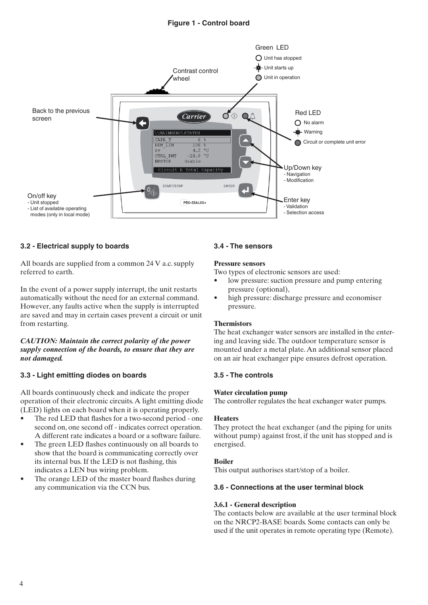

## **3.2 - Electrical supply to boards**

All boards are supplied from a common 24 V a.c. supply referred to earth.

In the event of a power supply interrupt, the unit restarts automatically without the need for an external command. However, any faults active when the supply is interrupted are saved and may in certain cases prevent a circuit or unit from restarting.

#### *CAUTION: Maintain the correct polarity of the power supply connection of the boards, to ensure that they are not damaged.*

## **3.3 - Light emitting diodes on boards**

All boards continuously check and indicate the proper operation of their electronic circuits. A light emitting diode (LED) lights on each board when it is operating properly.

- The red LED that flashes for a two-second period one second on, one second off - indicates correct operation. A different rate indicates a board or a software failure.
- The green LED flashes continuously on all boards to show that the board is communicating correctly over its internal bus. If the LED is not flashing, this indicates a LEN bus wiring problem.
- The orange LED of the master board flashes during any communication via the CCN bus.

#### **3.4 - The sensors**

#### **Pressure sensors**

Two types of electronic sensors are used:

- low pressure: suction pressure and pump entering pressure (optional),
- high pressure: discharge pressure and economiser pressure.

#### **Thermistors**

The heat exchanger water sensors are installed in the entering and leaving side. The outdoor temperature sensor is mounted under a metal plate. An additional sensor placed on an air heat exchanger pipe ensures defrost operation.

## **3.5 - The controls**

#### **Water circulation pump**

The controller regulates the heat exchanger water pumps.

#### **Heaters**

They protect the heat exchanger (and the piping for units without pump) against frost, if the unit has stopped and is energised.

#### **Boiler**

This output authorises start/stop of a boiler.

#### **3.6 - Connections at the user terminal block**

#### **3.6.1 - General description**

The contacts below are available at the user terminal block on the NRCP2-BASE boards. Some contacts can only be used if the unit operates in remote operating type (Remote).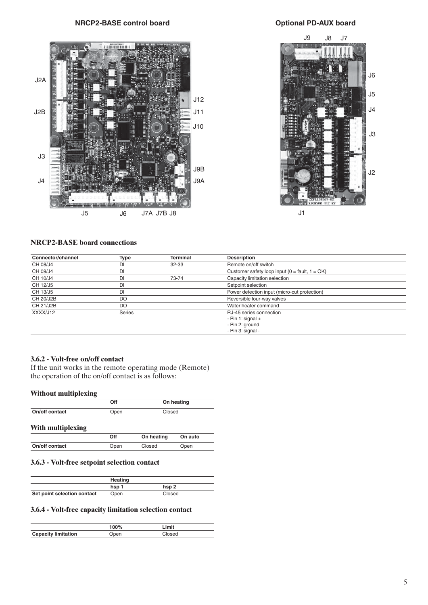# NRCP2-BASE control board **MECP2-BASE** control board





#### **NRCP2-BASE board connections**

| Connector/channel | <b>Type</b>   | <b>Terminal</b>                              | <b>Description</b>                                   |  |
|-------------------|---------------|----------------------------------------------|------------------------------------------------------|--|
| CH 08/J4          | DI            | $32 - 33$                                    | Remote on/off switch                                 |  |
| CH 09/J4          | DI            |                                              | Customer safety loop input ( $0 =$ fault, $1 = OK$ ) |  |
| CH 10/J4          | DI            | 73-74                                        | Capacity limitation selection                        |  |
| CH 12/J5          | DI            |                                              | Setpoint selection                                   |  |
| CH 13/J5          | DI            | Power detection input (micro-cut protection) |                                                      |  |
| CH 20/J2B         | DO            |                                              | Reversible four-way valves                           |  |
| CH 21/J2B         | DO            | Water heater command                         |                                                      |  |
| XXXX/J12          | <b>Series</b> |                                              | RJ-45 series connection                              |  |
|                   |               |                                              | - Pin 1: signal $+$                                  |  |
|                   |               |                                              | - Pin 2: ground                                      |  |
|                   |               |                                              | - Pin 3: signal -                                    |  |

#### **3.6.2 - Volt-free on/off contact**

If the unit works in the remote operating mode (Remote) the operation of the on/off contact is as follows:

#### **Without multiplexing**

|                | Off  | On heating |
|----------------|------|------------|
| On/off contact | Open | Closed     |

#### **With multiplexing**

|                | Off  | On heating | On auto |
|----------------|------|------------|---------|
| On/off contact | Open | Closed     | Open    |

## **3.6.3 - Volt-free setpoint selection contact**

|                             | Heating |        |  |
|-----------------------------|---------|--------|--|
|                             | hsp 1   | hsp 2  |  |
| Set point selection contact | Open    | Closed |  |

#### **3.6.4 - Volt-free capacity limitation selection contact**

|                            | 100% | .imit |
|----------------------------|------|-------|
| <b>Capacity limitation</b> |      |       |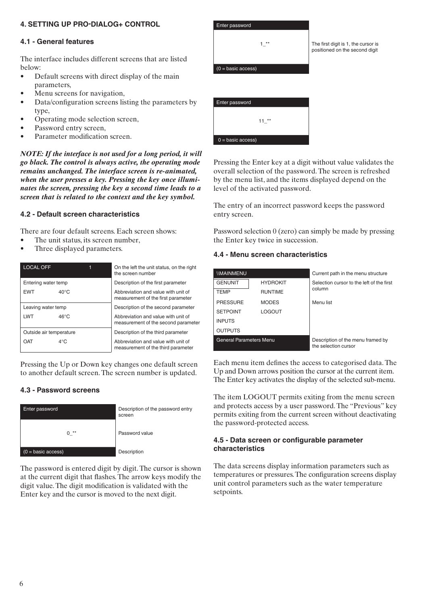# **4. SETTING UP PRO-DIALOG+ CONTROL**

#### **4.1 - General features**

The interface includes different screens that are listed below:

- Default screens with direct display of the main parameters,
- Menu screens for navigation,
- Data/configuration screens listing the parameters by type,
- Operating mode selection screen,
- Password entry screen,
- Parameter modification screen.

*NOTE: If the interface is not used for a long period, it will go black. The control is always active, the operating mode remains unchanged. The interface screen is re-animated, when the user presses a key. Pressing the key once illuminates the screen, pressing the key a second time leads to a screen that is related to the context and the key symbol.*

## **4.2 - Default screen characteristics**

There are four default screens. Each screen shows:

- The unit status, its screen number,
- Three displayed parameters.

| <b>LOCAL OFF</b>             | On the left the unit status, on the right<br>the screen number             |
|------------------------------|----------------------------------------------------------------------------|
| Entering water temp          | Description of the first parameter                                         |
| <b>EWT</b><br>$40^{\circ}$ C | Abbreviation and value with unit of<br>measurement of the first parameter  |
| Leaving water temp           | Description of the second parameter                                        |
| LWT<br>$46^{\circ}$ C        | Abbreviation and value with unit of<br>measurement of the second parameter |
| Outside air temperature      | Description of the third parameter                                         |
| OAT<br>$4^{\circ}$ C         | Abbreviation and value with unit of<br>measurement of the third parameter  |

Pressing the Up or Down key changes one default screen to another default screen. The screen number is updated.

## **4.3 - Password screens**



The password is entered digit by digit. The cursor is shown at the current digit that flashes. The arrow keys modify the digit value. The digit modification is validated with the Enter key and the cursor is moved to the next digit.



Pressing the Enter key at a digit without value validates the overall selection of the password. The screen is refreshed by the menu list, and the items displayed depend on the level of the activated password.

The entry of an incorrect password keeps the password entry screen.

Password selection 0 (zero) can simply be made by pressing the Enter key twice in succession.

#### **4.4 - Menu screen characteristics**

| <b><i>IMAINMENU</i></b>        |                 | Current path in the menu structure                        |
|--------------------------------|-----------------|-----------------------------------------------------------|
| <b>GENUNIT</b>                 | <b>HYDROKIT</b> | Selection cursor to the left of the first                 |
| <b>TEMP</b>                    | <b>RUNTIME</b>  | column                                                    |
| <b>PRESSURE</b>                | <b>MODES</b>    | Menu list                                                 |
| <b>SETPOINT</b>                | <b>LOGOUT</b>   |                                                           |
| <b>INPUTS</b>                  |                 |                                                           |
| <b>OUTPUTS</b>                 |                 |                                                           |
| <b>General Parameters Menu</b> |                 | Description of the menu framed by<br>the selection cursor |

Each menu item defines the access to categorised data. The Up and Down arrows position the cursor at the current item. The Enter key activates the display of the selected sub-menu.

The item LOGOUT permits exiting from the menu screen and protects access by a user password. The "Previous" key permits exiting from the current screen without deactivating the password-protected access.

#### **4.5 - Data screen or configurable parameter**  $characteristics$

The data screens display information parameters such as temperatures or pressures. The configuration screens display unit control parameters such as the water temperature setpoints.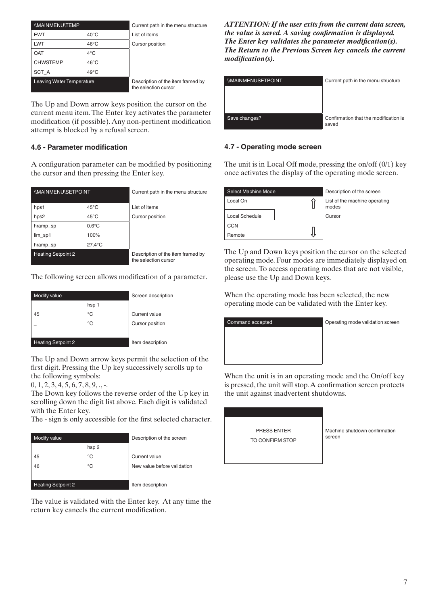| <b><i>IMAINMENUITEMP</i></b>     |                | Current path in the menu structure                        |
|----------------------------------|----------------|-----------------------------------------------------------|
| <b>EWT</b>                       | $40^{\circ}$ C | List of items                                             |
| LWT                              | $46^{\circ}$ C | Cursor position                                           |
| OAT                              | $4^{\circ}$ C  |                                                           |
| <b>CHWSTEMP</b>                  | $46^{\circ}$ C |                                                           |
| SCT A                            | $49^{\circ}$ C |                                                           |
| <b>Leaving Water Temperature</b> |                | Description of the item framed by<br>the selection cursor |

The Up and Down arrow keys position the cursor on the current menu item. The Enter key activates the parameter modification (if possible). Any non-pertinent modification attempt is blocked by a refusal screen.

# **4.6 - Parameter modification**

A configuration parameter can be modified by positioning the cursor and then pressing the Enter key.

| <b><i>IMAINMENU/SETPOINT</i></b> |                  | Current path in the menu structure                        |
|----------------------------------|------------------|-----------------------------------------------------------|
| hps1                             | $45^{\circ}$ C   | List of items                                             |
| hps2                             | $45^{\circ}$ C   | <b>Cursor position</b>                                    |
| hramp_sp                         | $0.6^{\circ}$ C  |                                                           |
| lim_sp1                          | 100%             |                                                           |
| hramp_sp                         | $27.4^{\circ}$ C |                                                           |
| <b>Heating Setpoint 2</b>        |                  | Description of the item framed by<br>the selection cursor |

The following screen allows modification of a parameter.

| Modify value              |       | Screen description |
|---------------------------|-------|--------------------|
|                           | hsp 1 |                    |
| 45                        | °C    | Current value      |
|                           | ℃     | Cursor position    |
|                           |       |                    |
| <b>Heating Setpoint 2</b> |       | Item description   |

The Up and Down arrow keys permit the selection of the first digit. Pressing the Up key successively scrolls up to the following symbols:

 $0, 1, 2, 3, 4, 5, 6, 7, 8, 9, \ldots$ 

The Down key follows the reverse order of the Up key in scrolling down the digit list above. Each digit is validated with the Enter key.

The - sign is only accessible for the first selected character.

| Modify value              |       | Description of the screen   |
|---------------------------|-------|-----------------------------|
|                           | hsp 2 |                             |
| 45                        | °C    | Current value               |
| 46                        | °C    | New value before validation |
|                           |       |                             |
| <b>Heating Setpoint 2</b> |       | Item description            |

The value is validated with the Enter key. At any time the return key cancels the current modification.

*ATTENTION: If the user exits from the current data screen, the value is saved. A saving confirmation is displayed. The Enter key validates the parameter modification(s). The Return to the Previous Screen key cancels the current*   $modification(s)$ .

| <b><i>IMAINMENUSETPOINT</i></b> | Current path in the menu structure             |
|---------------------------------|------------------------------------------------|
|                                 |                                                |
|                                 |                                                |
|                                 |                                                |
| Save changes?                   | Confirmation that the modification is<br>saved |

# **4.7 - Operating mode screen**

The unit is in Local Off mode, pressing the on/off (0/1) key once activates the display of the operating mode screen.

| Select Machine Mode | Description of the screen              |
|---------------------|----------------------------------------|
| Local On            | List of the machine operating<br>modes |
| Local Schedule      | Cursor                                 |
| CCN                 |                                        |
| Remote              |                                        |

The Up and Down keys position the cursor on the selected operating mode. Four modes are immediately displayed on the screen. To access operating modes that are not visible, please use the Up and Down keys.

When the operating mode has been selected, the new operating mode can be validated with the Enter key.



When the unit is in an operating mode and the On/off key is pressed, the unit will stop. A confirmation screen protects the unit against inadvertent shutdowns.

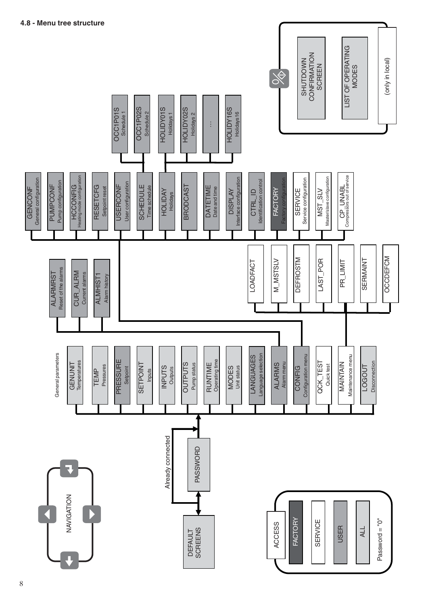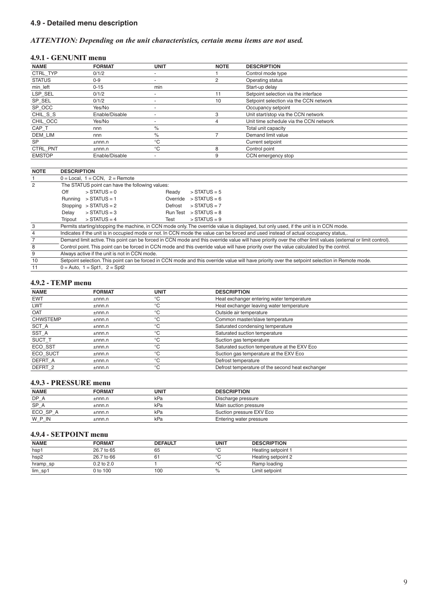# **4.9 - Detailed menu description**

## *ATTENTION: Depending on the unit characteristics, certain menu items are not used.*

#### **4.9.1 - GENUNIT menu**

| <b>NAME</b>   | <b>FORMAT</b>  | <b>UNIT</b>              | <b>NOTE</b> | <b>DESCRIPTION</b>                     |
|---------------|----------------|--------------------------|-------------|----------------------------------------|
| CTRL TYP      | 0/1/2          | $\overline{\phantom{a}}$ |             | Control mode type                      |
| <b>STATUS</b> | $0 - 9$        |                          |             | Operating status                       |
| min left      | $0 - 15$       | min                      |             | Start-up delay                         |
| LSP SEL       | 0/1/2          | -                        | 11          | Setpoint selection via the interface   |
| SP SEL        | 0/1/2          |                          | 10          | Setpoint selection via the CCN network |
| SP OCC        | Yes/No         | $\overline{\phantom{a}}$ |             | Occupancy setpoint                     |
| CHIL_S_S      | Enable/Disable |                          |             | Unit start/stop via the CCN network    |
| CHIL OCC      | Yes/No         | $\overline{\phantom{a}}$ |             | Unit time schedule via the CCN network |
| CAP T         | nnn            | $\%$                     |             | Total unit capacity                    |
| DEM LIM       | nnn            | $\%$                     |             | Demand limit value                     |
| <b>SP</b>     | ±nnn.n         | $^{\circ}C$              |             | Current setpoint                       |
| CTRL PNT      | $±$ nnn.n      | $^{\circ}C$              | 8           | Control point                          |
| <b>EMSTOP</b> | Enable/Disable |                          | 9           | CCN emergency stop                     |

| <b>NOTE</b> | <b>DESCRIPTION</b>                                                                                                                                            |  |  |  |  |  |
|-------------|---------------------------------------------------------------------------------------------------------------------------------------------------------------|--|--|--|--|--|
|             | $0 = Local$ , 1 = CCN, 2 = Remote                                                                                                                             |  |  |  |  |  |
| 2           | The STATUS point can have the following values:                                                                                                               |  |  |  |  |  |
|             | Off<br>$>$ STATUS = 0<br>$>$ STATUS = 5<br>Ready                                                                                                              |  |  |  |  |  |
|             | $>$ STATUS = 6<br>$>$ STATUS = 1<br>Override<br>Runnina                                                                                                       |  |  |  |  |  |
|             | Stopping $>$ STATUS = 2<br>$>$ STATUS = 7<br>Defrost                                                                                                          |  |  |  |  |  |
|             | $>$ STATUS = 3<br>$>$ STATUS = 8<br>Run Test<br>Delay                                                                                                         |  |  |  |  |  |
|             | $>$ STATUS = 4<br>$>$ STATUS = 9<br>Tripout<br>Test                                                                                                           |  |  |  |  |  |
| 3           | Permits starting/stopping the machine, in CCN mode only. The override value is displayed, but only used, if the unit is in CCN mode.                          |  |  |  |  |  |
| 4           | Indicates if the unit is in occupied mode or not. In CCN mode the value can be forced and used instead of actual occupancy status                             |  |  |  |  |  |
|             | Demand limit active. This point can be forced in CCN mode and this override value will have priority over the other limit values (external or limit control). |  |  |  |  |  |
| 8           | Control point. This point can be forced in CCN mode and this override value will have priority over the value calculated by the control.                      |  |  |  |  |  |
| 9           | Always active if the unit is not in CCN mode.                                                                                                                 |  |  |  |  |  |
| 10          | Setpoint selection. This point can be forced in CCN mode and this override value will have priority over the setpoint selection in Remote mode.               |  |  |  |  |  |
| 11          | $0 =$ Auto. 1 = Spt1. 2 = Spt2                                                                                                                                |  |  |  |  |  |

#### **4.9.2 - TEMP menu**

| <b>NAME</b>     | <b>FORMAT</b> | <b>UNIT</b>  | <b>DESCRIPTION</b>                               |  |
|-----------------|---------------|--------------|--------------------------------------------------|--|
| <b>EWT</b>      | ±nnn.n        | ்С           | Heat exchanger entering water temperature        |  |
| <b>LWT</b>      | ±nnn.n        | $\circ$<br>◡ | Heat exchanger leaving water temperature         |  |
| OAT             | ±nnn.n        | $\circ$<br>◡ | Outside air temperature                          |  |
| <b>CHWSTEMP</b> | $±$ nnn.n     | $\circ$<br>◡ | Common master/slave temperature                  |  |
| SCT A           | $±$ nnn.n     | $\circ$<br>◡ | Saturated condensing temperature                 |  |
| SST A           | $±$ nnn.n     | $\circ$<br>◡ | Saturated suction temperature                    |  |
| SUCT T          | $±$ nnn.n     | $\circ$<br>◡ | Suction gas temperature                          |  |
| ECO SST         | $±$ nnn.n     | ்С           | Saturated suction temperature at the EXV Eco     |  |
| ECO SUCT        | $±$ nnn.n     | ்С           | Suction gas temperature at the EXV Eco           |  |
| DEFRT A         | $±$ nnn.n     | $\circ$      | Defrost temperature                              |  |
| DEFRT 2         | ±nnn.n        | ்С           | Defrost temperature of the second heat exchanger |  |

## **4.9.3 - PRESSURE menu**

| - ™• ≥• •   | T TARDO CIAR MONU |      |                          |  |
|-------------|-------------------|------|--------------------------|--|
| <b>NAME</b> | <b>FORMAT</b>     | UNIT | <b>DESCRIPTION</b>       |  |
| $DP_A$      | ±nnn.n            | kPa  | Discharge pressure       |  |
| SP_A        | $±$ nnn.n         | kPa  | Main suction pressure    |  |
| ECO_SP_A    | $±$ nnn.n         | kPa  | Suction pressure EXV Eco |  |
| W P IN      | $±$ nnn.n         | kPa  | Entering water pressure  |  |

## **4.9.4 - SETPOINT menu**

| <b>NAME</b> | <b>FORMAT</b>  | <b>DEFAULT</b> | <b>UNIT</b> | <b>DESCRIPTION</b> |
|-------------|----------------|----------------|-------------|--------------------|
| hsp1        | 26.7 to 65     | 65             | $\sim$      | Heating setpoint 1 |
| hsp2        | 26.7 to 66     |                | $\sim$      | Heating setpoint 2 |
| hramp_sp    | $0.2$ to $2.0$ |                |             | Ramp loading       |
| lim_sp1     | 0 to 100       | 100            |             | Limit setpoint     |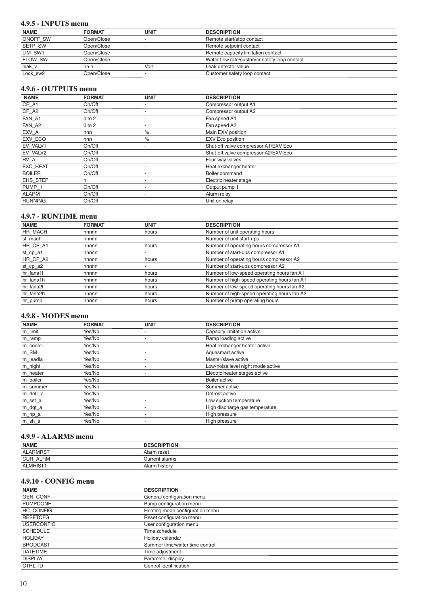## 4.9.5 - INPUTS menu

| <b>NAME</b> | <b>FORMAT</b> | <b>UNIT</b> | <b>DESCRIPTION</b>                           |  |
|-------------|---------------|-------------|----------------------------------------------|--|
| ONOFF SW    | Open/Close    |             | Remote start/stop contact                    |  |
| SETP_SW     | Open/Close    |             | Remote setpoint contact                      |  |
| LIM_SW1     | Open/Close    |             | Remote capacity limitation contact           |  |
| FLOW_SW     | Open/Close    |             | Water flow rate/customer safety loop contact |  |
| leak_v      | nn.n          | Volt        | Leak detector value                          |  |
| Lock sw2    | Open/Close    |             | Customer safety loop contact                 |  |

#### 4.9.6 - OUTPUTS menu

| <b>NAME</b>       | <b>FORMAT</b> | <b>UNIT</b>              | <b>DESCRIPTION</b>                   |
|-------------------|---------------|--------------------------|--------------------------------------|
| CP_A1             | On/Off        |                          | Compressor output A1                 |
| CP_A2             | On/Off        | $\overline{\phantom{a}}$ | Compressor output A2                 |
| FAN_A1            | $0$ to $2$    |                          | Fan speed A1                         |
| FAN A2            | $0$ to $2$    | $\overline{\phantom{a}}$ | Fan speed A2                         |
| EXV A             | nnn           | $\%$                     | Main EXV position                    |
| EXV_ECO           | nnn           | $\%$                     | EXV Eco position                     |
| EV VALV1          | On/Off        |                          | Shut-off valve compressor A1/EXV Eco |
| EV VALV2          | On/Off        | $\overline{\phantom{a}}$ | Shut-off valve compressor A2/EXV Eco |
| RV A              | On/Off        |                          | Four-way valves                      |
| <b>EXC HEAT</b>   | On/Off        |                          | Heat exchanger heater                |
| <b>BOILER</b>     | On/Off        | $\overline{\phantom{a}}$ | Boiler command                       |
| EHS STEP          | n             |                          | Electric heater stage                |
| PUMP <sub>1</sub> | On/Off        |                          | Output pump 1                        |
| <b>ALARM</b>      | On/Off        | $\overline{\phantom{a}}$ | Alarm relay                          |
| <b>RUNNING</b>    | On/Off        |                          | Unit on relay                        |

## 4.9.7 - RUNTIME menu

| <b>NAME</b> | <b>FORMAT</b> | <b>UNIT</b> | <b>DESCRIPTION</b>                          |
|-------------|---------------|-------------|---------------------------------------------|
| HR MACH     | nnnnn         | hours       | Number of unit operating hours              |
| st mach     | nnnnn         |             | Number of unit start-ups                    |
| HR CP A1    | nnnnn         | hours       | Number of operating hours compressor A1     |
| st_cp_a1    | nnnnn         |             | Number of start-ups compressor A1           |
| HR CP A2    | nnnnn         | hours       | Number of operating hours compressor A2     |
| st_cp_a2    | nnnnn         |             | Number of start-ups compressor A2           |
| hr fana1l   | nnnnn         | hours       | Number of low-speed operating hours fan A1  |
| hr fana1h   | nnnnn         | hours       | Number of high-speed operating hours fan A1 |
| hr fana2l   | nnnnn         | hours       | Number of low-speed operating hours fan A2  |
| hr fana2h   | nnnnn         | hours       | Number of high-speed operating hours fan A2 |
| hr pump     | nnnnn         | hours       | Number of pump operating hours              |

#### 4.9.8 - MODES menu

| <b>NAME</b> | <b>FORMAT</b> | <b>UNIT</b>              | <b>DESCRIPTION</b>                |
|-------------|---------------|--------------------------|-----------------------------------|
| m_limit     | Yes/No        | $\overline{a}$           | Capacity limitation active        |
| m_ramp      | Yes/No        |                          | Ramp loading active               |
| m_cooler    | Yes/No        | $\overline{\phantom{a}}$ | Heat exchanger heater active      |
| m_SM        | Yes/No        |                          | Aquasmart active                  |
| m_leadla    | Yes/No        |                          | Master/slave active               |
| m_night     | Yes/No        |                          | Low-noise level night mode active |
| m_heater    | Yes/No        | $\overline{a}$           | Electric heater stages active     |
| m_boiler    | Yes/No        |                          | Boiler active                     |
| m summer    | Yes/No        |                          | Summer active                     |
| m_defr_a    | Yes/No        |                          | Defrost active                    |
| m_sst_a     | Yes/No        | $\overline{a}$           | Low suction temperature           |
| m_dgt_a     | Yes/No        | $\overline{\phantom{a}}$ | High discharge gas temperature    |
| $m_h$ p_a   | Yes/No        |                          | High pressure                     |
| m_sh_a      | Yes/No        | $\overline{\phantom{a}}$ | High pressure                     |

#### 4.9.9 - ALARMS menu

| <b>NAME</b>     | <b>DESCRIPTION</b> |
|-----------------|--------------------|
| <b>ALARMRST</b> | Alarm reset        |
| CUR_ALRM        | Current alarms     |
| <b>ALMHIST</b>  | Alarm history      |

## 4.9.10 - CONFIG menu

| <b>NAME</b>       | <b>DESCRIPTION</b>              |
|-------------------|---------------------------------|
| <b>GEN CONF</b>   | General configuration menu      |
| <b>PUMPCONF</b>   | Pump configuration menu         |
| HC CONFIG         | Heating mode configuration menu |
| <b>RESETCFG</b>   | Reset configuration menu        |
| <b>USERCONFIG</b> | User configuration menu         |
| <b>SCHEDULE</b>   | Time schedule                   |
| <b>HOLIDAY</b>    | Holiday calendar                |
| <b>BRODCAST</b>   | Summer time/winter time control |
| <b>DATETIME</b>   | Time adjustment                 |
| <b>DISPLAY</b>    | Parameter display               |
| CTRL ID           | Control identification          |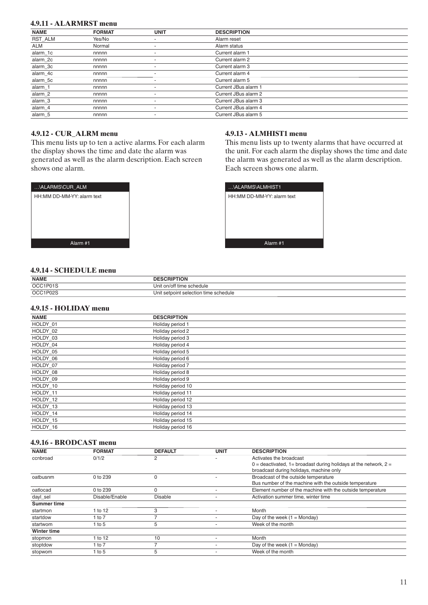## **4.9.11 - ALARMRST menu**

| <b>NAME</b> | <b>FORMAT</b> | <b>UNIT</b> | <b>DESCRIPTION</b>   |
|-------------|---------------|-------------|----------------------|
| RST_ALM     | Yes/No        | ۰           | Alarm reset          |
| <b>ALM</b>  | Normal        | -           | Alarm status         |
| alarm_1c    | nnnnn         | -           | Current alarm 1      |
| alarm_2c    | nnnnn         | -           | Current alarm 2      |
| alarm_3c    | nnnnn         | -           | Current alarm 3      |
| alarm_4c    | nnnnn         | -           | Current alarm 4      |
| alarm_5c    | nnnnn         |             | Current alarm 5      |
| alarm_1     | nnnnn         | -           | Current JBus alarm 1 |
| alarm_2     | nnnnn         | -           | Current JBus alarm 2 |
| alarm_3     | nnnnn         | -           | Current JBus alarm 3 |
| alarm_4     | nnnnn         |             | Current JBus alarm 4 |
| alarm 5     | nnnnn         | -           | Current JBus alarm 5 |

## **4.9.12 - CUR\_ALRM menu**

This menu lists up to ten a active alarms. For each alarm the display shows the time and date the alarm was generated as well as the alarm description. Each screen shows one alarm.



## **4.9.13 - ALMHIST1 menu**

This menu lists up to twenty alarms that have occurred at the unit. For each alarm the display shows the time and date the alarm was generated as well as the alarm description. Each screen shows one alarm.



## **4.9.14 - SCHEDULE menu**

| <b>NAME</b> | <b>DESCRIPTION</b>                    |
|-------------|---------------------------------------|
| OCC1P01S    | Unit on/off time schedule             |
| OCC1P02S    | Unit setpoint selection time schedule |

#### **4.9.15 - HOLIDAY menu**

| <b>NAME</b> | <b>DESCRIPTION</b> |
|-------------|--------------------|
| HOLDY 01    | Holiday period 1   |
| HOLDY 02    | Holiday period 2   |
| HOLDY 03    | Holiday period 3   |
| HOLDY 04    | Holiday period 4   |
| HOLDY 05    | Holiday period 5   |
| HOLDY_06    | Holiday period 6   |
| HOLDY_07    | Holiday period 7   |
| HOLDY 08    | Holiday period 8   |
| HOLDY 09    | Holiday period 9   |
| HOLDY_10    | Holiday period 10  |
| HOLDY 11    | Holiday period 11  |
| HOLDY 12    | Holiday period 12  |
| HOLDY 13    | Holiday period 13  |
| HOLDY 14    | Holiday period 14  |
| HOLDY 15    | Holiday period 15  |
| HOLDY 16    | Holiday period 16  |

#### **4.9.16 - BRODCAST menu**

| <b>NAME</b>        | <b>FORMAT</b>  | <b>DEFAULT</b> | <b>UNIT</b> | <b>DESCRIPTION</b>                                                 |
|--------------------|----------------|----------------|-------------|--------------------------------------------------------------------|
| ccnbroad           | 0/1/2          | 2              |             | Activates the broadcast                                            |
|                    |                |                |             | $0 =$ deactivated, 1= broadast during holidays at the network, 2 = |
|                    |                |                |             | broadcast during holidays, machine only                            |
| oatbusnm           | 0 to 239       |                |             | Broadcast of the outside temperature                               |
|                    |                |                |             | Bus number of the machine with the outside temperature             |
| oatlocad           | 0 to 239       |                |             | Element number of the machine with the outside temperature         |
| dayl_sel           | Disable/Enable | Disable        |             | Activation summer time, winter time                                |
| <b>Summer time</b> |                |                |             |                                                                    |
| startmon           | 1 to 12        | 3              |             | Month                                                              |
| startdow           | 1 to $7$       |                |             | Day of the week $(1 = \text{Monday})$                              |
| startwom           | 1 to $5$       | 5              |             | Week of the month                                                  |
| <b>Winter time</b> |                |                |             |                                                                    |
| stopmon            | 1 to 12        | 10             |             | Month                                                              |
| stoptdow           | 1 to $7$       |                |             | Day of the week $(1 = \text{Monday})$                              |
| stopwom            | 1 to $5$       | 5              |             | Week of the month                                                  |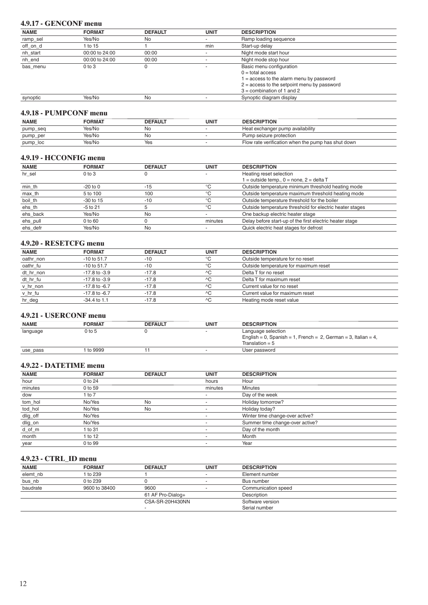## **4.9.17 - GENCONF menu**

| <b>NAME</b> | <b>FORMAT</b>  | <b>DEFAULT</b> | <b>UNIT</b> | <b>DESCRIPTION</b>                            |  |
|-------------|----------------|----------------|-------------|-----------------------------------------------|--|
| ramp_sel    | Yes/No         | No             |             | Ramp loading sequence                         |  |
| off_on_d    | 1 to 15        |                | min         | Start-up delay                                |  |
| nh_start    | 00:00 to 24:00 | 00:00          |             | Night mode start hour                         |  |
| nh end      | 00:00 to 24:00 | 00:00          |             | Night mode stop hour                          |  |
| bas menu    | $0$ to $3$     |                |             | Basic menu configuration                      |  |
|             |                |                |             | $0 =$ total access                            |  |
|             |                |                |             | 1 = access to the alarm menu by password      |  |
|             |                |                |             | $2 =$ access to the setpoint menu by password |  |
|             |                |                |             | $3 =$ combination of 1 and 2                  |  |
| synoptic    | Yes/No         | No             |             | Synoptic diagram display                      |  |
|             |                |                |             |                                               |  |

## **4.9.18 - PUMPCONF menu**

| <b>NAME</b> | <b>FORMAT</b> | <b>DEFAULT</b> | UNIT | <b>DESCRIPTION</b>                                 |
|-------------|---------------|----------------|------|----------------------------------------------------|
| pump_seq    | Yes/No        | Nc             |      | Heat exchanger pump availability                   |
| pump_per    | Yes/No        | Nc             |      | Pump seizure protection                            |
| pump_loc    | Yes/No        | Yes            |      | Flow rate verification when the pump has shut down |

#### **4.9.19 - HCCONFIG menu**

| <b>NAME</b> | <b>FORMAT</b> | <b>DEFAULT</b> | <b>UNIT</b>  | <b>DESCRIPTION</b>                                       |
|-------------|---------------|----------------|--------------|----------------------------------------------------------|
| hr sel      | $0$ to $3$    |                |              | Heating reset selection                                  |
|             |               |                |              | $=$ outside temp., $0 =$ none, $2 =$ delta T             |
| min_th      | $-20$ to $0$  | $-15$          | °C           | Outside temperature minimum threshold heating mode       |
| max_th      | 5 to 100      | 100            | $^{\circ}$ C | Outside temperature maximum threshold heating mode       |
| boil_th     | $-30$ to 15   | $-10$          | $^{\circ}$ C | Outside temperature threshold for the boiler             |
| ehs th      | -5 to 21      |                | °C           | Outside temperature threshold for electric heater stages |
| ehs back    | Yes/No        | No             |              | One backup electric heater stage                         |
| ehs_pull    | 0 to 60       |                | minutes      | Delay before start-up of the first electric heater stage |
| ehs defr    | Yes/No        | No             |              | Quick electric heat stages for defrost                   |

## **4.9.20 - RESETCFG menu**

| <b>NAME</b> | <b>FORMAT</b>     | <b>DEFAULT</b> | <b>UNIT</b> | <b>DESCRIPTION</b>                    |  |
|-------------|-------------------|----------------|-------------|---------------------------------------|--|
| oathr non   | $-10$ to $51.7$   | $-10$          |             | Outside temperature for no reset      |  |
| oathr_fu    | $-10$ to $51.7$   | $-10$          | °C          | Outside temperature for maximum reset |  |
| dt hr non   | $-17.8$ to $-3.9$ | $-17.8$        | ^C          | Delta T for no reset                  |  |
| dt_hr_fu    | $-17.8$ to $-3.9$ | $-17.8$        | AC          | Delta T for maximum reset             |  |
| v_hr_non    | $-17.8$ to $-6.7$ | $-17.8$        | AC          | Current value for no reset            |  |
| v_hr_fu     | $-17.8$ to $-6.7$ | $-17.8$        | ЛC          | Current value for maximum reset       |  |
| hr_deg      | $-34.4$ to 1.1    | $-17.8$        | AC          | Heating mode reset value              |  |

#### **4.9.21 - USERCONF menu**

| <b>NAME</b> | <b>FORMAT</b> | <b>DEFAULT</b> | UNIT | <b>DESCRIPTION</b>                                             |
|-------------|---------------|----------------|------|----------------------------------------------------------------|
| language    | $0$ to 5      |                |      | Language selection                                             |
|             |               |                |      | English = 0, Spanish = 1, French = 2, German = 3, Italian = 4, |
|             |               |                |      | Translation = $5$                                              |
| use_pass    | to 9999       |                |      | User password                                                  |

## **4.9.22 - DATETIME menu**

| <b>NAME</b> | <b>FORMAT</b> | <b>DEFAULT</b> | <b>UNIT</b> | <b>DESCRIPTION</b>              |  |
|-------------|---------------|----------------|-------------|---------------------------------|--|
| hour        | 0 to 24       |                | hours       | Hour                            |  |
| minutes     | 0 to 59       |                | minutes     | <b>Minutes</b>                  |  |
| dow         | 1 to $7$      |                |             | Day of the week                 |  |
| tom_hol     | No/Yes        | No             |             | Holiday tomorrow?               |  |
| tod_hol     | No/Yes        | <b>No</b>      |             | Holiday today?                  |  |
| dlig_off    | No/Yes        |                |             | Winter time change-over active? |  |
| dlig_on     | No/Yes        |                |             | Summer time change-over active? |  |
| $d\_of\_m$  | 1 to 31       |                |             | Day of the month                |  |
| month       | 1 to 12       |                |             | Month                           |  |
| year        | 0 to 99       |                | ۰           | Year                            |  |

## **4.9.23 - CTRL\_ID menu**

| <b>NAME</b> | <b>FORMAT</b> | <b>DEFAULT</b>    | <b>UNIT</b> | <b>DESCRIPTION</b>  |
|-------------|---------------|-------------------|-------------|---------------------|
| elemt_nb    | 1 to 239      |                   |             | Element number      |
| bus_nb      | 0 to 239      |                   |             | Bus number          |
| baudrate    | 9600 to 38400 | 9600              |             | Communication speed |
|             |               | 61 AF Pro-Dialog+ |             | Description         |
|             |               | CSA-SR-20H430NN   |             | Software version    |
|             |               |                   |             | Serial number       |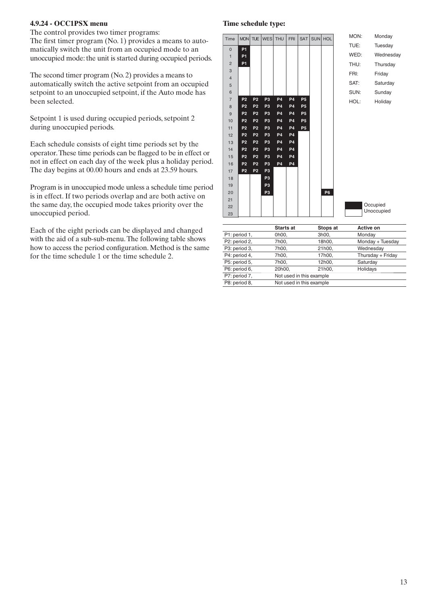## **4.9.24 - OCC1PSX menu**

The control provides two timer programs:

The first timer program  $(No. 1)$  provides a means to automatically switch the unit from an occupied mode to an unoccupied mode: the unit is started during occupied periods.

The second timer program  $(No. 2)$  provides a means to automatically switch the active setpoint from an occupied setpoint to an unoccupied setpoint, if the Auto mode has been selected.

Setpoint 1 is used during occupied periods, setpoint 2 during unoccupied periods.

Each schedule consists of eight time periods set by the operator. These time periods can be flagged to be in effect or not in effect on each day of the week plus a holiday period. The day begins at 00.00 hours and ends at 23.59 hours.

Program is in unoccupied mode unless a schedule time period is in effect. If two periods overlap and are both active on the same day, the occupied mode takes priority over the unoccupied period.

Each of the eight periods can be displayed and changed with the aid of a sub-sub-menu. The following table shows how to access the period configuration. Method is the same for the time schedule 1 or the time schedule 2.

#### **Time schedule type:**



|               | <b>Starts at</b>         | Stops at                 | Active on         |  |
|---------------|--------------------------|--------------------------|-------------------|--|
| P1: period 1, | 0h00,                    | 3h00,                    | Monday            |  |
| P2: period 2, | 7h00,                    | 18h00,                   | Monday + Tuesday  |  |
| P3: period 3, | 7h00,                    | 21h00,                   | Wednesday         |  |
| P4: period 4, | 7h00,                    | 17h00,                   | Thursday + Friday |  |
| P5: period 5, | 7h00,                    | 12h00,                   | Saturday          |  |
| P6: period 6, | 20h00.                   | 21h00,                   | Holidays          |  |
| P7: period 7, | Not used in this example |                          |                   |  |
| P8: period 8, |                          | Not used in this example |                   |  |
|               |                          |                          |                   |  |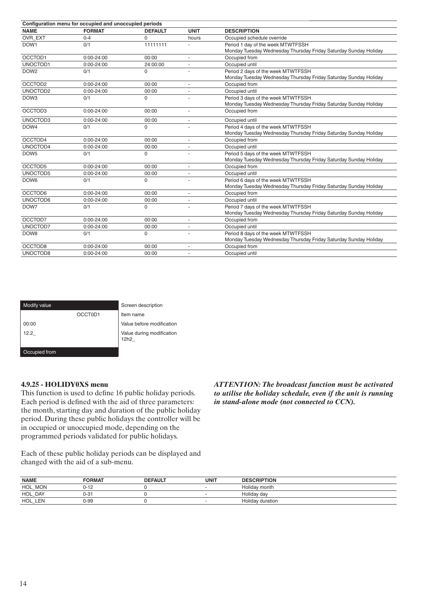| Configuration menu for occupied and unoccupied periods |                |                |                          |                                                                  |  |  |  |  |
|--------------------------------------------------------|----------------|----------------|--------------------------|------------------------------------------------------------------|--|--|--|--|
| <b>NAME</b>                                            | <b>FORMAT</b>  | <b>DEFAULT</b> | <b>UNIT</b>              | <b>DESCRIPTION</b>                                               |  |  |  |  |
| OVR EXT                                                | $0 - 4$        | $\Omega$       | hours                    | Occupied schedule override                                       |  |  |  |  |
| DOW1                                                   | 0/1            | 11111111       |                          | Period 1 day of the week MTWTFSSH                                |  |  |  |  |
|                                                        |                |                |                          | Monday Tuesday Wednesday Thursday Friday Saturday Sunday Holiday |  |  |  |  |
| OCCTOD1                                                | $0:00 - 24:00$ | 00:00          | $\sim$                   | Occupied from                                                    |  |  |  |  |
| UNOCTOD1                                               | $0:00 - 24:00$ | 24:00:00       |                          | Occupied until                                                   |  |  |  |  |
| DOW <sub>2</sub>                                       | 0/1            | 0              |                          | Period 2 days of the week MTWTFSSH                               |  |  |  |  |
|                                                        |                |                |                          | Monday Tuesday Wednesday Thursday Friday Saturday Sunday Holiday |  |  |  |  |
| OCCTOD2                                                | $0:00 - 24:00$ | 00:00          |                          | Occupied from                                                    |  |  |  |  |
| UNOCTOD2                                               | $0:00 - 24:00$ | 00:00          | $\overline{\phantom{a}}$ | Occupied until                                                   |  |  |  |  |
| DOW <sub>3</sub>                                       | 0/1            | 0              |                          | Period 3 days of the week MTWTFSSH                               |  |  |  |  |
|                                                        |                |                |                          | Monday Tuesday Wednesday Thursday Friday Saturday Sunday Holiday |  |  |  |  |
| OCCTOD3                                                | $0:00 - 24:00$ | 00:00          | $\sim$                   | Occupied from                                                    |  |  |  |  |
| UNOCTOD3                                               | $0:00 - 24:00$ | 00:00          | $\sim$                   | Occupied until                                                   |  |  |  |  |
| DOW4                                                   | 0/1            | $\Omega$       |                          | Period 4 days of the week MTWTFSSH                               |  |  |  |  |
|                                                        |                |                |                          | Monday Tuesday Wednesday Thursday Friday Saturday Sunday Holiday |  |  |  |  |
| OCCTOD4                                                | $0:00 - 24:00$ | 00:00          |                          | Occupied from                                                    |  |  |  |  |
| UNOCTOD4                                               | 0:00-24:00     | 00:00          |                          | Occupied until                                                   |  |  |  |  |
| DOW <sub>5</sub>                                       | 0/1            | 0              |                          | Period 5 days of the week MTWTFSSH                               |  |  |  |  |
|                                                        |                |                |                          | Monday Tuesday Wednesday Thursday Friday Saturday Sunday Holiday |  |  |  |  |
| OCCTOD5                                                | $0:00 - 24:00$ | 00:00          | $\overline{a}$           | Occupied from                                                    |  |  |  |  |
| UNOCTOD5                                               | 0:00-24:00     | 00:00          | $\overline{a}$           | Occupied until                                                   |  |  |  |  |
| DOW6                                                   | 0/1            | $\Omega$       |                          | Period 6 days of the week MTWTFSSH                               |  |  |  |  |
|                                                        |                |                |                          | Monday Tuesday Wednesday Thursday Friday Saturday Sunday Holiday |  |  |  |  |
| OCCTOD6                                                | $0:00 - 24:00$ | 00:00          | ÷.                       | Occupied from                                                    |  |  |  |  |
| UNOCTOD6                                               | $0:00 - 24:00$ | 00:00          | $\sim$                   | Occupied until                                                   |  |  |  |  |
| DOW7                                                   | 0/1            | $\Omega$       |                          | Period 7 days of the week MTWTFSSH                               |  |  |  |  |
|                                                        |                |                |                          | Monday Tuesday Wednesday Thursday Friday Saturday Sunday Holiday |  |  |  |  |
| OCCTOD7                                                | $0:00 - 24:00$ | 00:00          | ٠                        | Occupied from                                                    |  |  |  |  |
| UNOCTOD7                                               | $0:00 - 24:00$ | 00:00          | $\sim$                   | Occupied until                                                   |  |  |  |  |
| DOW8                                                   | 0/1            | 0              |                          | Period 8 days of the week MTWTFSSH                               |  |  |  |  |
|                                                        |                |                |                          | Monday Tuesday Wednesday Thursday Friday Saturday Sunday Holiday |  |  |  |  |
| OCCTOD8                                                | $0:00 - 24:00$ | 00:00          | $\overline{a}$           | Occupied from                                                    |  |  |  |  |
| UNOCTOD8                                               | 0:00-24:00     | 00:00          |                          | Occupied until                                                   |  |  |  |  |

| Modify value  |         | Screen description                            |
|---------------|---------|-----------------------------------------------|
|               | OCCT0D1 | Item name                                     |
| 00:00         |         | Value before modification                     |
| 12.2          |         | Value during modification<br>12h <sub>2</sub> |
| Occupied from |         |                                               |

#### **4.9.25 - HOLIDY0XS menu**

This function is used to define 16 public holiday periods. Each period is defined with the aid of three parameters: the month, starting day and duration of the public holiday period. During these public holidays the controller will be in occupied or unoccupied mode, depending on the programmed periods validated for public holidays.

*ATTENTION: The broadcast function must be activated to utilise the holiday schedule, even if the unit is running in stand-alone mode (not connected to CCN).* 

Each of these public holiday periods can be displayed and changed with the aid of a sub-menu.

|         | <b>DEFAULT</b> | <b>UNIT</b> | <b>DESCRIPTION</b> |
|---------|----------------|-------------|--------------------|
| 0-12    |                |             | Holiday month      |
| $0 - 3$ |                |             | Holiday day        |
| 0-99    |                |             | Holiday duration   |
|         |                |             |                    |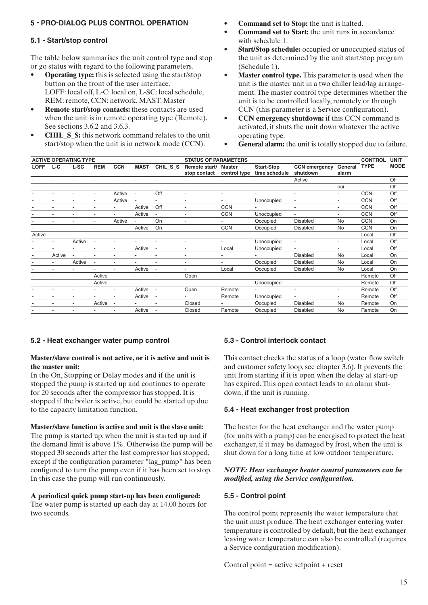# 5 - PRO-DIALOG PLUS CONTROL OPERATION

# **5.1 - Start/stop control**

The table below summarises the unit control type and stop or go status with regard to the following parameters.

- **Operating type:** this is selected using the start/stop button on the front of the user interface. LOFF: local off, L-C: local on, L-SC: local schedule, REM: remote, CCN: network, MAST: Master
- **Remote start/stop contacts:** these contacts are used when the unit is in remote operating type (Remote). See sections 3.6.2 and 3.6.3.
- **CHIL S S:** this network command relates to the unit start/stop when the unit is in network mode (CCN).
- **Command set to Stop:** the unit is halted.
- **Command set to Start:** the unit runs in accordance with schedule 1.
- $\bullet$  **Start/Stop schedule:** occupied or unoccupied status of the unit as determined by the unit start/stop program (Schedule 1).
- Master control type. This parameter is used when the unit is the master unit in a two chiller lead/lag arrangement. The master control type determines whether the unit is to be controlled locally, remotely or through CCN (this parameter is a Service configuration).
- **CCN emergency shutdown:** if this CCN command is activated, it shuts the unit down whatever the active operating type.
- **General alarm:** the unit is totally stopped due to failure.

| <b>ACTIVE OPERATING TYPE</b><br><b>STATUS OF PARAMETERS</b> |        |                          |            |                          |                          | <b>CONTROL</b>           | <b>UNIT</b>                   |                               |                                    |                                  |                  |             |             |
|-------------------------------------------------------------|--------|--------------------------|------------|--------------------------|--------------------------|--------------------------|-------------------------------|-------------------------------|------------------------------------|----------------------------------|------------------|-------------|-------------|
| <b>LOFF</b>                                                 | $L-C$  | L-SC                     | <b>REM</b> | <b>CCN</b>               | <b>MAST</b>              | CHIL S S                 | Remote start/<br>stop contact | <b>Master</b><br>control type | <b>Start-Stop</b><br>time schedule | <b>CCN</b> emergency<br>shutdown | General<br>alarm | <b>TYPE</b> | <b>MODE</b> |
|                                                             |        |                          |            |                          |                          |                          | ٠                             | $\overline{\phantom{a}}$      | $\overline{\phantom{0}}$           | Active                           | $\overline{a}$   |             | Off         |
|                                                             |        | $\overline{a}$           |            |                          | ٠                        | ٠                        | ٠                             | $\overline{\phantom{a}}$      | ÷                                  | $\overline{\phantom{a}}$         | oui              |             | Off         |
|                                                             |        | $\overline{a}$           | $\sim$     | Active                   | ٠                        | Off                      | ٠                             | $\overline{a}$                | ÷                                  | $\overline{\phantom{a}}$         | ۰.               | <b>CCN</b>  | Off         |
|                                                             |        |                          |            | Active                   |                          | $\blacksquare$           | ٠                             | ÷.                            | Unoccupied                         | $\sim$                           | $\overline{a}$   | <b>CCN</b>  | Off         |
|                                                             |        |                          |            |                          | Active                   | Off                      | ٠                             | <b>CCN</b>                    | ٠                                  | $\overline{\phantom{a}}$         | ٠                | <b>CCN</b>  | Off         |
|                                                             |        |                          |            |                          | Active                   | ٠                        | ٠                             | <b>CCN</b>                    | Unoccupied                         | $\blacksquare$                   | ٠                | <b>CCN</b>  | Off         |
|                                                             |        | $\overline{a}$           |            | Active                   | $\overline{\phantom{a}}$ | On                       | ٠                             | $\sim$                        | Occupied                           | <b>Disabled</b>                  | <b>No</b>        | <b>CCN</b>  | On          |
|                                                             |        | $\overline{a}$           |            | ٠                        | Active                   | On                       | ٠                             | <b>CCN</b>                    | Occupied                           | <b>Disabled</b>                  | <b>No</b>        | <b>CCN</b>  | On          |
| Active                                                      | ÷      |                          |            |                          | $\sim$                   |                          | ٠                             | ÷.                            |                                    | $\sim$                           | $\overline{a}$   | Local       | Off         |
|                                                             |        | Active                   |            |                          |                          |                          | ٠                             | $\overline{a}$                | Unoccupied                         | $\overline{\phantom{a}}$         | ٠                | Local       | Off         |
|                                                             |        |                          |            | ٠                        | Active                   | ٠                        | ٠                             | Local                         | Unoccupied                         | ÷.                               | ٠                | Local       | Off         |
|                                                             | Active |                          |            | $\overline{\phantom{a}}$ | ٠                        | $\overline{\phantom{a}}$ | ۰                             | $\overline{\phantom{a}}$      | $\sim$                             | <b>Disabled</b>                  | <b>No</b>        | Local       | On          |
|                                                             |        | Active                   | $\sim$     | ٠                        | ٠                        | ٠                        | $\overline{\phantom{0}}$      | $\overline{a}$                | Occupied                           | <b>Disabled</b>                  | <b>No</b>        | Local       | On          |
|                                                             |        | $\sim$                   | $\sim$     | ٠                        | Active                   | $\overline{\phantom{a}}$ | ٠                             | Local                         | Occupied                           | <b>Disabled</b>                  | <b>No</b>        | Local       | On          |
|                                                             |        | $\sim$                   | Active     |                          | $\overline{\phantom{a}}$ |                          | Open                          | ٠                             | $\sim$                             | $\sim$                           | ۰.               | Remote      | Off         |
|                                                             |        |                          | Active     |                          |                          |                          | ۰.                            | ٠                             | Unoccupied                         | $\overline{\phantom{a}}$         | ÷.               | Remote      | Off         |
|                                                             |        |                          |            | ٠                        | Active                   |                          | Open                          | Remote                        |                                    | $\overline{\phantom{a}}$         | ٠                | Remote      | Off         |
|                                                             |        | $\overline{a}$           |            | $\overline{\phantom{a}}$ | Active                   | $\overline{\phantom{a}}$ | ۰.                            | Remote                        | Unoccupied                         | $\sim$                           | ٠                | Remote      | Off         |
|                                                             |        | $\overline{\phantom{a}}$ | Active     |                          | $\overline{a}$           |                          | Closed                        | $\overline{\phantom{a}}$      | Occupied                           | <b>Disabled</b>                  | <b>No</b>        | Remote      | On          |
|                                                             |        |                          | $\sim$     | ۰                        | Active                   |                          | Closed                        | Remote                        | Occupied                           | <b>Disabled</b>                  | <b>No</b>        | Remote      | On          |

## **5.2 - Heat exchanger water pump control**

#### **Master/slave control is not active, or it is active and unit is the master unit:**

In the On, Stopping or Delay modes and if the unit is stopped the pump is started up and continues to operate for 20 seconds after the compressor has stopped. It is stopped if the boiler is active, but could be started up due to the capacity limitation function.

#### **Master/slave function is active and unit is the slave unit:**

The pump is started up, when the unit is started up and if the demand limit is above 1%. Otherwise the pump will be stopped 30 seconds after the last compressor has stopped, except if the configuration parameter "lag\_pump" has been configured to turn the pump even if it has been set to stop. In this case the pump will run continuously.

#### **A** periodical quick pump start-up has been configured: The water pump is started up each day at 14.00 hours for two seconds.

# **5.3 - Control interlock contact**

This contact checks the status of a loop (water flow switch and customer safety loop, see chapter 3.6). It prevents the unit from starting if it is open when the delay at start-up has expired. This open contact leads to an alarm shutdown, if the unit is running.

## **5.4 - Heat exchanger frost protection**

The heater for the heat exchanger and the water pump (for units with a pump) can be energised to protect the heat exchanger, if it may be damaged by frost, when the unit is shut down for a long time at low outdoor temperature.

#### *NOTE: Heat exchanger heater control parameters can be modified, using the Service configuration.*

## **5.5 - Control point**

The control point represents the water temperature that the unit must produce. The heat exchanger entering water temperature is controlled by default, but the heat exchanger leaving water temperature can also be controlled (requires a Service configuration modification).

Control point  $=$  active setpoint  $+$  reset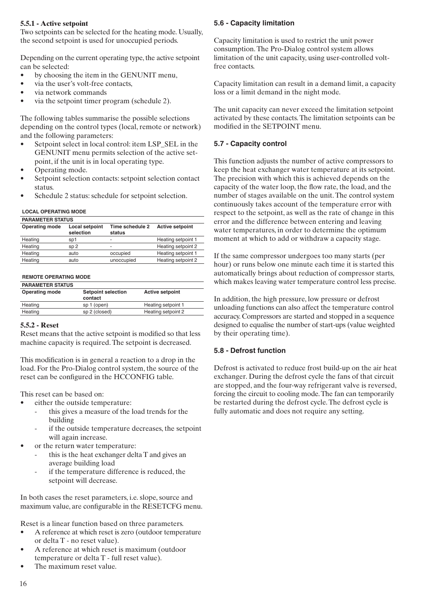## **5.5.1 - Active setpoint**

Two setpoints can be selected for the heating mode. Usually, the second setpoint is used for unoccupied periods.

Depending on the current operating type, the active setpoint can be selected:

- by choosing the item in the GENUNIT menu,
- via the user's volt-free contacts,
- via network commands
- via the setpoint timer program (schedule 2).

The following tables summarise the possible selections depending on the control types (local, remote or network) and the following parameters:

- Setpoint select in local control: item LSP\_SEL in the GENUNIT menu permits selection of the active setpoint, if the unit is in local operating type.
- Operating mode.
- Setpoint selection contacts: setpoint selection contact status.
- Schedule 2 status: schedule for setpoint selection.

#### **LOCAL OPERATING MODE**

| <b>PARAMETER STATUS</b> |                             |                           |                        |  |  |  |  |
|-------------------------|-----------------------------|---------------------------|------------------------|--|--|--|--|
| <b>Operating mode</b>   | Local setpoint<br>selection | Time schedule 2<br>status | <b>Active setpoint</b> |  |  |  |  |
| Heating                 | sp1                         | -                         | Heating setpoint 1     |  |  |  |  |
| Heating                 | SD <sub>2</sub>             | -                         | Heating setpoint 2     |  |  |  |  |
| Heating                 | auto                        | occupied                  | Heating setpoint 1     |  |  |  |  |
| Heating                 | auto                        | unoccupied                | Heating setpoint 2     |  |  |  |  |

#### **REMOTE OPERATING MODE**

| <b>PARAMETER STATUS</b> |                                      |                        |
|-------------------------|--------------------------------------|------------------------|
| <b>Operating mode</b>   | <b>Setpoint selection</b><br>contact | <b>Active setpoint</b> |
| Heating                 | sp 1 (open)                          | Heating setpoint 1     |
| Heating                 | sp 2 (closed)                        | Heating setpoint 2     |

#### **5.5.2 - Reset**

Reset means that the active setpoint is modified so that less machine capacity is required. The setpoint is decreased.

This modification is in general a reaction to a drop in the load. For the Pro-Dialog control system, the source of the reset can be configured in the HCCONFIG table.

This reset can be based on:

- either the outside temperature:
	- this gives a measure of the load trends for the building
	- if the outside temperature decreases, the setpoint will again increase.
- or the return water temperature:
	- this is the heat exchanger delta  $T$  and gives an average building load
	- if the temperature difference is reduced, the setpoint will decrease.

In both cases the reset parameters, i.e. slope, source and maximum value, are configurable in the RESETCFG menu.

Reset is a linear function based on three parameters.

- A reference at which reset is zero (outdoor temperature or delta T - no reset value).
- A reference at which reset is maximum (outdoor temperature or delta T - full reset value).
- The maximum reset value.

# **5.6 - Capacity limitation**

Capacity limitation is used to restrict the unit power consumption. The Pro-Dialog control system allows limitation of the unit capacity, using user-controlled voltfree contacts.

Capacity limitation can result in a demand limit, a capacity loss or a limit demand in the night mode.

The unit capacity can never exceed the limitation setpoint activated by these contacts. The limitation setpoints can be modified in the SETPOINT menu.

## **5.7 - Capacity control**

This function adjusts the number of active compressors to keep the heat exchanger water temperature at its setpoint. The precision with which this is achieved depends on the capacity of the water loop, the flow rate, the load, and the number of stages available on the unit. The control system continuously takes account of the temperature error with respect to the setpoint, as well as the rate of change in this error and the difference between entering and leaving water temperatures, in order to determine the optimum moment at which to add or withdraw a capacity stage.

If the same compressor undergoes too many starts (per hour) or runs below one minute each time it is started this automatically brings about reduction of compressor starts, which makes leaving water temperature control less precise.

In addition, the high pressure, low pressure or defrost unloading functions can also affect the temperature control accuracy. Compressors are started and stopped in a sequence designed to equalise the number of start-ups (value weighted by their operating time).

## **5.8 - Defrost function**

Defrost is activated to reduce frost build-up on the air heat exchanger. During the defrost cycle the fans of that circuit are stopped, and the four-way refrigerant valve is reversed, forcing the circuit to cooling mode. The fan can temporarily be restarted during the defrost cycle. The defrost cycle is fully automatic and does not require any setting.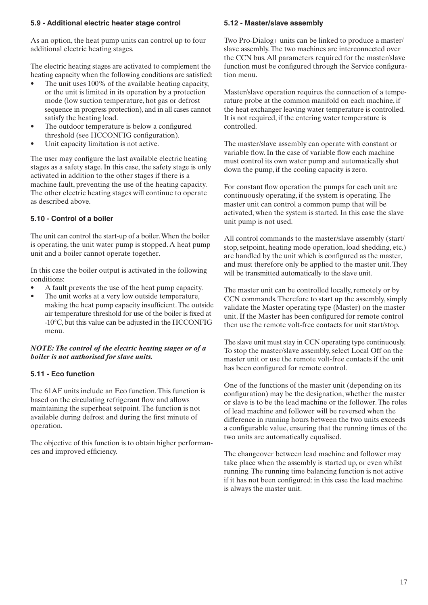## **5.9 - Additional electric heater stage control**

As an option, the heat pump units can control up to four additional electric heating stages.

The electric heating stages are activated to complement the heating capacity when the following conditions are satisfied:

- The unit uses 100% of the available heating capacity, or the unit is limited in its operation by a protection mode (low suction temperature, hot gas or defrost sequence in progress protection), and in all cases cannot satisfy the heating load.
- The outdoor temperature is below a configured threshold (see HCCONFIG configuration).
- Unit capacity limitation is not active.

The user may configure the last available electric heating stages as a safety stage. In this case, the safety stage is only activated in addition to the other stages if there is a machine fault, preventing the use of the heating capacity. The other electric heating stages will continue to operate as described above.

# **5.10 - Control of a boiler**

The unit can control the start-up of a boiler. When the boiler is operating, the unit water pump is stopped. A heat pump unit and a boiler cannot operate together.

In this case the boiler output is activated in the following conditions:

- A fault prevents the use of the heat pump capacity.
- The unit works at a very low outside temperature, making the heat pump capacity insufficient. The outside air temperature threshold for use of the boiler is fixed at  $-10^{\circ}$ C, but this value can be adjusted in the HCCONFIG menu.

## *NOTE: The control of the electric heating stages or of a boiler is not authorised for slave units.*

## **5.11 - Eco function**

The 61AF units include an Eco function. This function is based on the circulating refrigerant flow and allows maintaining the superheat setpoint. The function is not available during defrost and during the first minute of operation.

The objective of this function is to obtain higher performances and improved efficiency.

## **5.12 - Master/slave assembly**

Two Pro-Dialog+ units can be linked to produce a master/ slave assembly. The two machines are interconnected over the CCN bus. All parameters required for the master/slave function must be configured through the Service configuration menu.

Master/slave operation requires the connection of a temperature probe at the common manifold on each machine, if the heat exchanger leaving water temperature is controlled. It is not required, if the entering water temperature is controlled.

The master/slave assembly can operate with constant or variable flow. In the case of variable flow each machine must control its own water pump and automatically shut down the pump, if the cooling capacity is zero.

For constant flow operation the pumps for each unit are continuously operating, if the system is operating. The master unit can control a common pump that will be activated, when the system is started. In this case the slave unit pump is not used.

All control commands to the master/slave assembly (start/ stop, setpoint, heating mode operation, load shedding, etc.) are handled by the unit which is configured as the master, and must therefore only be applied to the master unit. They will be transmitted automatically to the slave unit.

The master unit can be controlled locally, remotely or by CCN commands. Therefore to start up the assembly, simply validate the Master operating type (Master) on the master unit. If the Master has been configured for remote control then use the remote volt-free contacts for unit start/stop.

The slave unit must stay in CCN operating type continuously. To stop the master/slave assembly, select Local Off on the master unit or use the remote volt-free contacts if the unit has been configured for remote control.

One of the functions of the master unit (depending on its configuration) may be the designation, whether the master or slave is to be the lead machine or the follower. The roles of lead machine and follower will be reversed when the difference in running hours between the two units exceeds a configurable value, ensuring that the running times of the two units are automatically equalised.

The changeover between lead machine and follower may take place when the assembly is started up, or even whilst running. The running time balancing function is not active if it has not been configured: in this case the lead machine is always the master unit.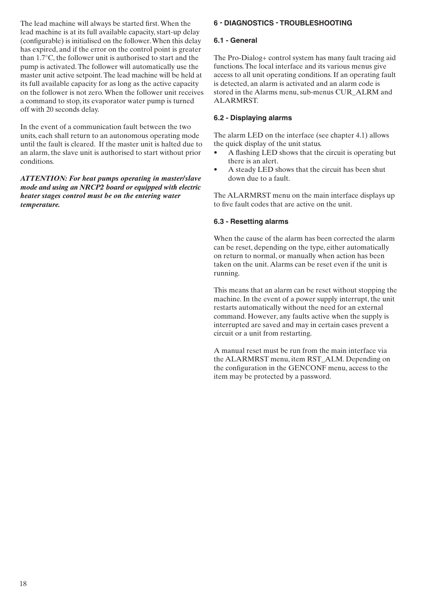The lead machine will always be started first. When the lead machine is at its full available capacity, start-up delay (configurable) is initialised on the follower. When this delay has expired, and if the error on the control point is greater than 1.7°C, the follower unit is authorised to start and the pump is activated. The follower will automatically use the master unit active setpoint. The lead machine will be held at its full available capacity for as long as the active capacity on the follower is not zero. When the follower unit receives a command to stop, its evaporator water pump is turned off with 20 seconds delay.

In the event of a communication fault between the two units, each shall return to an autonomous operating mode until the fault is cleared. If the master unit is halted due to an alarm, the slave unit is authorised to start without prior conditions.

*ATTENTION: For heat pumps operating in master/slave mode and using an NRCP2 board or equipped with electric heater stages control must be on the entering water temperature.*

# 6 - DIAGNOSTICS - TROUBLESHOOTING

## **6.1 - General**

The Pro-Dialog+ control system has many fault tracing aid functions. The local interface and its various menus give access to all unit operating conditions. If an operating fault is detected, an alarm is activated and an alarm code is stored in the Alarms menu, sub-menus CUR\_ALRM and ALARMRST.

## **6.2 - Displaying alarms**

The alarm LED on the interface (see chapter 4.1) allows the quick display of the unit status.

- A flashing LED shows that the circuit is operating but there is an alert.
- A steady LED shows that the circuit has been shut down due to a fault.

The ALARMRST menu on the main interface displays up to five fault codes that are active on the unit.

#### **6.3 - Resetting alarms**

When the cause of the alarm has been corrected the alarm can be reset, depending on the type, either automatically on return to normal, or manually when action has been taken on the unit. Alarms can be reset even if the unit is running.

This means that an alarm can be reset without stopping the machine. In the event of a power supply interrupt, the unit restarts automatically without the need for an external command. However, any faults active when the supply is interrupted are saved and may in certain cases prevent a circuit or a unit from restarting.

A manual reset must be run from the main interface via the ALARMRST menu, item RST ALM. Depending on the configuration in the GENCONF menu, access to the item may be protected by a password.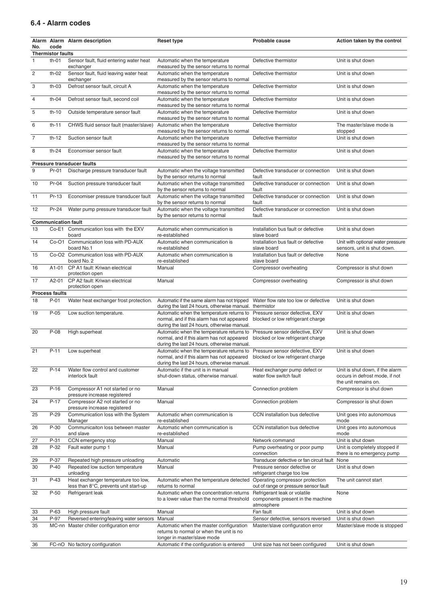## 6.4 - Alarm codes

| No.            | code                       | Alarm Alarm Alarm description                                                | <b>Reset type</b>                                                                                                                                                                                       | Probable cause                                                                  | Action taken by the control                                                               |
|----------------|----------------------------|------------------------------------------------------------------------------|---------------------------------------------------------------------------------------------------------------------------------------------------------------------------------------------------------|---------------------------------------------------------------------------------|-------------------------------------------------------------------------------------------|
|                | <b>Thermistor faults</b>   |                                                                              |                                                                                                                                                                                                         |                                                                                 |                                                                                           |
| $\mathbf{1}$   | $th-01$                    | Sensor fault, fluid entering water heat<br>exchanger                         | Automatic when the temperature<br>measured by the sensor returns to normal                                                                                                                              | Defective thermistor                                                            | Unit is shut down                                                                         |
| $\overline{c}$ | $th-02$                    | Sensor fault, fluid leaving water heat<br>exchanger                          | Automatic when the temperature<br>measured by the sensor returns to normal                                                                                                                              | Defective thermistor                                                            | Unit is shut down                                                                         |
| 3              | $th-03$                    | Defrost sensor fault, circuit A                                              | Automatic when the temperature<br>measured by the sensor returns to normal                                                                                                                              | Defective thermistor                                                            | Unit is shut down                                                                         |
| $\overline{4}$ | $th-04$                    | Defrost sensor fault, second coil                                            | Automatic when the temperature<br>measured by the sensor returns to normal                                                                                                                              | Defective thermistor                                                            | Unit is shut down                                                                         |
| 5              | $th-10$                    | Outside temperature sensor fault                                             | Automatic when the temperature<br>measured by the sensor returns to normal                                                                                                                              | Defective thermistor                                                            | Unit is shut down                                                                         |
| 6              | th-11                      | CHWS fluid sensor fault (master/slave)                                       | Automatic when the temperature<br>measured by the sensor returns to normal                                                                                                                              | Defective thermistor                                                            | The master/slave mode is<br>stopped                                                       |
| $\overline{7}$ | th-12                      | Suction sensor fault                                                         | Automatic when the temperature<br>measured by the sensor returns to normal                                                                                                                              | Defective thermistor                                                            | Unit is shut down                                                                         |
| 8              | th- $24$                   | Economiser sensor fault                                                      | Automatic when the temperature<br>measured by the sensor returns to normal                                                                                                                              | Defective thermistor                                                            | Unit is shut down                                                                         |
|                |                            | <b>Pressure transducer faults</b>                                            |                                                                                                                                                                                                         |                                                                                 |                                                                                           |
| 9              | Pr-01                      | Discharge pressure transducer fault                                          | Automatic when the voltage transmitted<br>by the sensor returns to normal                                                                                                                               | Defective transducer or connection<br>fault                                     | Unit is shut down                                                                         |
| 10             | Pr-04                      | Suction pressure transducer fault                                            | Automatic when the voltage transmitted<br>by the sensor returns to normal                                                                                                                               | Defective transducer or connection<br>fault                                     | Unit is shut down                                                                         |
| 11             | Pr-13                      | Economiser pressure transducer fault                                         | Automatic when the voltage transmitted<br>by the sensor returns to normal                                                                                                                               | Defective transducer or connection<br>fault                                     | Unit is shut down                                                                         |
| 12             | Pr-24                      | Water pump pressure transducer fault                                         | Automatic when the voltage transmitted<br>by the sensor returns to normal                                                                                                                               | Defective transducer or connection<br>fault                                     | Unit is shut down                                                                         |
|                | <b>Communication fault</b> |                                                                              |                                                                                                                                                                                                         |                                                                                 |                                                                                           |
| 13             |                            | Co-E1 Communication loss with the EXV<br>board                               | Automatic when communication is<br>re-established                                                                                                                                                       | Installation bus fault or defective<br>slave board                              | Unit is shut down                                                                         |
| 14             |                            | Co-O1 Communication loss with PD-AUX<br>board No.1                           | Automatic when communication is<br>re-established                                                                                                                                                       | Installation bus fault or defective<br>slave board                              | Unit with optional water pressure<br>sensors, unit is shut down.                          |
| 15             |                            | Co-O2 Communication loss with PD-AUX<br>board No. 2                          | Automatic when communication is<br>re-established                                                                                                                                                       | Installation bus fault or defective<br>slave board                              | None                                                                                      |
| 16             | A1-01                      | CP A1 fault: Kriwan electrical<br>protection open                            | Manual                                                                                                                                                                                                  | Compressor overheating                                                          | Compressor is shut down                                                                   |
| 17             | A2-01                      | CP A2 fault: Kriwan electrical<br>protection open                            | Manual                                                                                                                                                                                                  | Compressor overheating                                                          | Compressor is shut down                                                                   |
|                | <b>Process faults</b>      |                                                                              |                                                                                                                                                                                                         |                                                                                 |                                                                                           |
| 18             | $P-01$                     | Water heat exchanger frost protection.                                       | Automatic if the same alarm has not tripped<br>during the last 24 hours, otherwise manual.                                                                                                              | Water flow rate too low or defective<br>thermistor                              | Unit is shut down                                                                         |
| 19             | $P-05$                     | Low suction temperature.                                                     | Automatic when the temperature returns to<br>normal, and if this alarm has not appeared<br>during the last 24 hours, otherwise manual.                                                                  | Pressure sensor defective, EXV<br>blocked or low refrigerant charge             | Unit is shut down                                                                         |
| 20             | $P-08$                     | High superheat                                                               | Automatic when the temperature returns to<br>normal, and if this alarm has not appeared<br>during the last 24 hours, otherwise manual.                                                                  | Pressure sensor defective, EXV<br>blocked or low refrigerant charge             | Unit is shut down                                                                         |
| 21             | $P-11$                     | Low superheat                                                                | Automatic when the temperature returns to Pressure sensor defective, EXV<br>normal, and if this alarm has not appeared blocked or low refrigerant charge<br>during the last 24 hours, otherwise manual. |                                                                                 | Unit is shut down                                                                         |
| 22             | $P-14$                     | Water flow control and customer<br>interlock fault                           | Automatic if the unit is in manual<br>shut-down status, otherwise manual.                                                                                                                               | Heat exchanger pump defect or<br>water flow switch fault                        | Unit is shut down, if the alarm<br>occurs in defrost mode, if not<br>the unit remains on. |
| 23             | $P-16$                     | Compressor A1 not started or no<br>pressure increase registered              | Manual                                                                                                                                                                                                  | Connection problem                                                              | Compressor is shut down                                                                   |
| 24             | $P-17$                     | Compressor A2 not started or no<br>pressure increase registered              | Manual                                                                                                                                                                                                  | Connection problem                                                              | Compressor is shut down                                                                   |
| 25             | $P-29$                     | Communication loss with the System<br>Manager                                | Automatic when communication is<br>re-established                                                                                                                                                       | CCN installation bus defective                                                  | Unit goes into autonomous<br>mode                                                         |
| 26             | P-30                       | Communicaiton loss between master<br>and slave                               | Automatic when communication is<br>re-established                                                                                                                                                       | CCN installation bus defective                                                  | Unit goes into autonomous<br>mode                                                         |
| 27             | P-31                       | CCN emergency stop                                                           | Manual                                                                                                                                                                                                  | Network command                                                                 | Unit is shut down                                                                         |
| 28             | P-32                       | Fault water pump 1                                                           | Manual                                                                                                                                                                                                  | Pump overheating or poor pump<br>connection                                     | Unit is completely stopped if<br>there is no emergency pump                               |
| 29             | P-37                       | Repeated high pressure unloading                                             | Automatic                                                                                                                                                                                               | Transducer defective or fan circuit fault                                       | None                                                                                      |
| 30             | $P-40$                     | Repeated low suction temperature<br>unloading                                | Manual                                                                                                                                                                                                  | Pressure sensor defective or<br>refrigerant charge too low                      | Unit is shut down                                                                         |
| 31             | $P-43$                     | Heat exchanger temperature too low,<br>less than 8°C, prevents unit start-up | Automatic when the temperature detected<br>returns to normal                                                                                                                                            | Operating compressor protection<br>out of range or pressure sensor fault        | The unit cannot start                                                                     |
| 32             | $P-50$                     | Refrigerant leak                                                             | Automatic when the concentration returns<br>to a lower value than the normal threshold                                                                                                                  | Refrigerant leak or volatile<br>components present in the machine<br>atmosphere | None                                                                                      |
| 33             | P-63                       | High pressure fault                                                          | Manual                                                                                                                                                                                                  | Fan fault                                                                       | Unit is shut down                                                                         |
| 34             | P-97                       | Reversed entering/leaving water sensors                                      | Manual                                                                                                                                                                                                  | Sensor defective, sensors reversed                                              | Unit is shut down                                                                         |
| 35             |                            | MC-nn Master chiller configuration error                                     | Automatic when the master configuration<br>returns to normal or when the unit is no<br>longer in master/slave mode                                                                                      | Master/slave configuration error                                                | Master/slave mode is stopped                                                              |
| 36             |                            | FC-nO No factory configuration                                               | Automatic if the configuration is entered                                                                                                                                                               | Unit size has not been configured                                               | Unit is shut down                                                                         |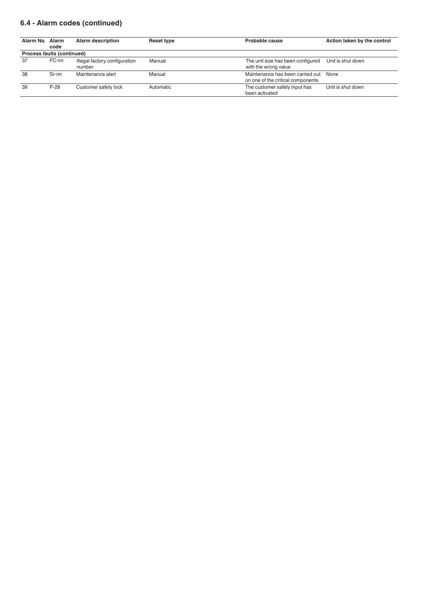# 6.4 - Alarm codes (continued)

| Alarm No. Alarm | code                       | <b>Alarm description</b>                | Reset type | Probable cause                                                        | Action taken by the control |
|-----------------|----------------------------|-----------------------------------------|------------|-----------------------------------------------------------------------|-----------------------------|
|                 | Process faults (continued) |                                         |            |                                                                       |                             |
| 37              | FC-nn                      | Illegal factory configuration<br>number | Manual     | The unit size has been configured<br>with the wrong value             | Unit is shut down           |
| 38              | Sr-nn                      | Maintenance alert                       | Manual     | Maintenance has been carried out<br>on one of the critical components | None                        |
| 39              | $P-28$                     | Customer safety lock                    | Automatic  | The customer safety input has<br>been activated                       | Unit is shut down           |